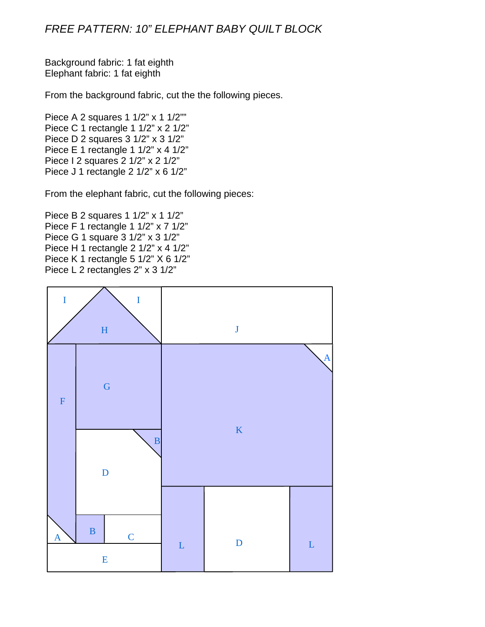## *FREE PATTERN: 10" ELEPHANT BABY QUILT BLOCK*

Background fabric: 1 fat eighth Elephant fabric: 1 fat eighth

From the background fabric, cut the the following pieces.

Piece A 2 squares 1 1/2" x 1 1/2"" Piece C 1 rectangle 1 1/2" x 2 1/2" Piece D 2 squares 3 1/2" x 3 1/2" Piece E 1 rectangle 1 1/2" x 4 1/2" Piece I 2 squares 2 1/2" x 2 1/2" Piece J 1 rectangle 2 1/2" x 6 1/2"

From the elephant fabric, cut the following pieces:

Piece B 2 squares 1 1/2" x 1 1/2" Piece F 1 rectangle 1 1/2" x 7 1/2" Piece G 1 square 3 1/2" x 3 1/2" Piece H 1 rectangle 2 1/2" x 4 1/2" Piece K 1 rectangle 5 1/2" X 6 1/2" Piece L 2 rectangles 2" x 3 1/2"

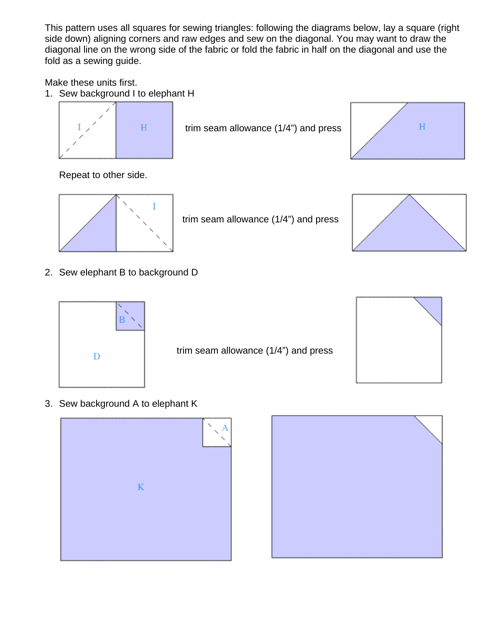This pattern uses all squares for sewing triangles: following the diagrams below, lay a square (right side down) aligning corners and raw edges and sew on the diagonal. You may want to draw the diagonal line on the wrong side of the fabric or fold the fabric in half on the diagonal and use the fold as a sewing guide.

Make these units first.

1. Sew background I to elephant H



trim seam allowance (1/4") and press



Repeat to other side.



trim seam allowance (1/4") and press



2. Sew elephant B to background D



trim seam allowance (1/4") and press



3. Sew background A to elephant K



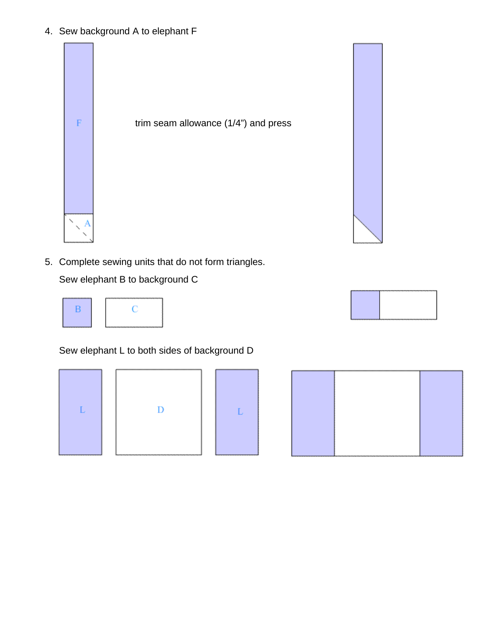4. Sew background A to elephant F



5. Complete sewing units that do not form triangles.

Sew elephant B to background C



Sew elephant L to both sides of background D







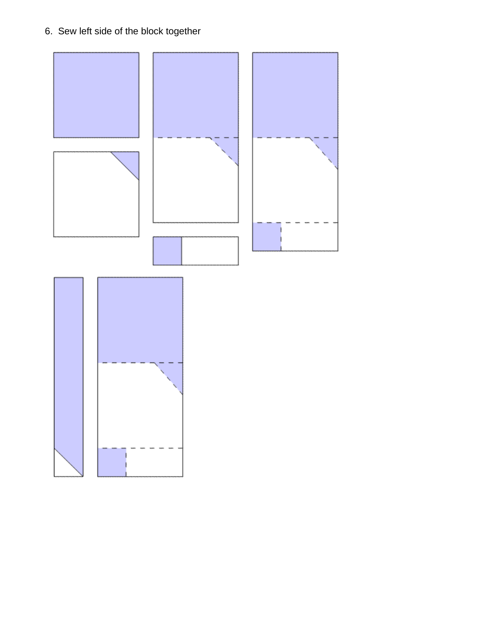6. Sew left side of the block together

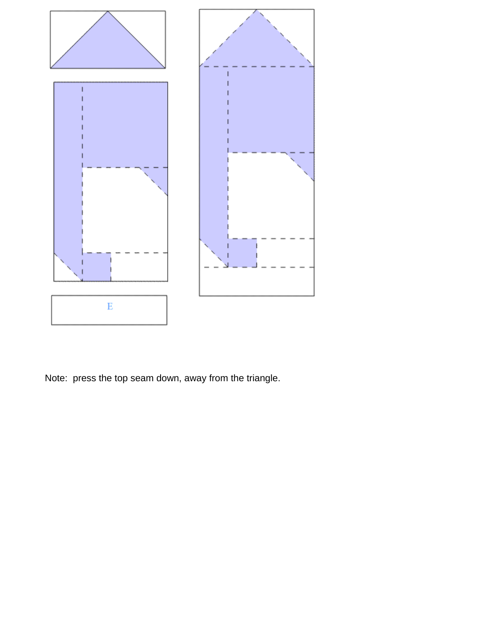

Note: press the top seam down, away from the triangle.